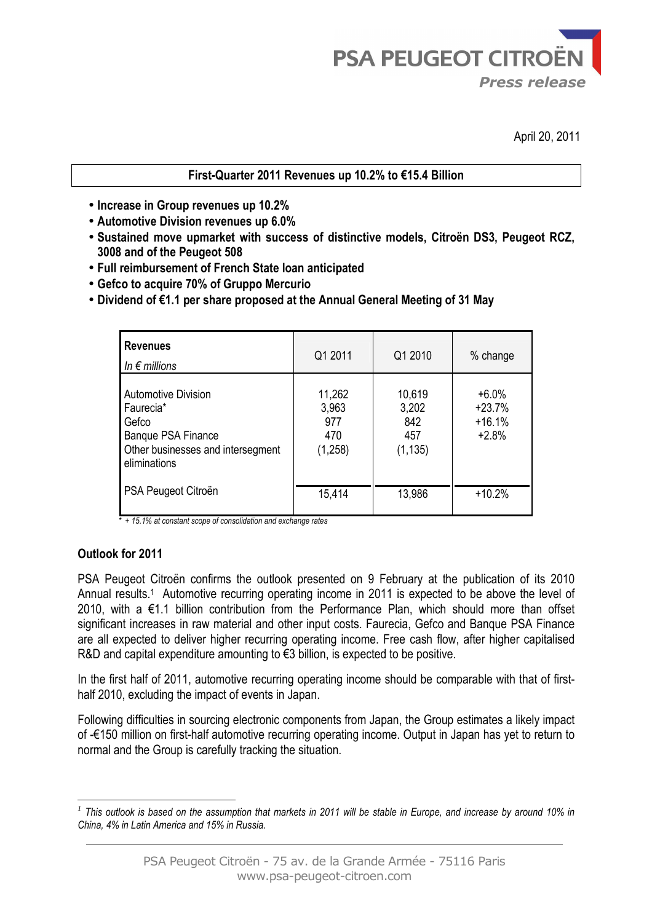April 20, 2011

# **First-Quarter 2011 Revenues up 10.2% to €15.4 Billion**

- **Increase in Group revenues up 10.2%**
- **Automotive Division revenues up 6.0%**
- **Sustained move upmarket with success of distinctive models, Citroën DS3, Peugeot RCZ, 3008 and of the Peugeot 508**
- **Full reimbursement of French State loan anticipated**
- **Gefco to acquire 70% of Gruppo Mercurio**
- **Dividend of €1.1 per share proposed at the Annual General Meeting of 31 May**

| <b>Revenues</b><br>In $\epsilon$ millions                                                                                          | Q1 2011                                  | Q1 2010                                   | % change                                   |
|------------------------------------------------------------------------------------------------------------------------------------|------------------------------------------|-------------------------------------------|--------------------------------------------|
| <b>Automotive Division</b><br>Faurecia*<br>Gefco<br><b>Banque PSA Finance</b><br>Other businesses and intersegment<br>eliminations | 11,262<br>3,963<br>977<br>470<br>(1,258) | 10,619<br>3,202<br>842<br>457<br>(1, 135) | $+6.0%$<br>$+23.7%$<br>$+16.1%$<br>$+2.8%$ |
| PSA Peugeot Citroën                                                                                                                | 15,414                                   | 13,986                                    | $+10.2%$                                   |

 *\* + 15.1% at constant scope of consolidation and exchange rates* 

# **Outlook for 2011**

PSA Peugeot Citroën confirms the outlook presented on 9 February at the publication of its 2010 Annual results.<sup>1</sup> Automotive recurring operating income in 2011 is expected to be above the level of 2010, with a €1.1 billion contribution from the Performance Plan, which should more than offset significant increases in raw material and other input costs. Faurecia, Gefco and Banque PSA Finance are all expected to deliver higher recurring operating income. Free cash flow, after higher capitalised R&D and capital expenditure amounting to €3 billion, is expected to be positive.

In the first half of 2011, automotive recurring operating income should be comparable with that of firsthalf 2010, excluding the impact of events in Japan.

Following difficulties in sourcing electronic components from Japan, the Group estimates a likely impact of -€150 million on first-half automotive recurring operating income. Output in Japan has yet to return to normal and the Group is carefully tracking the situation.

 $\overline{a}$ *1 This outlook is based on the assumption that markets in 2011 will be stable in Europe, and increase by around 10% in China, 4% in Latin America and 15% in Russia.*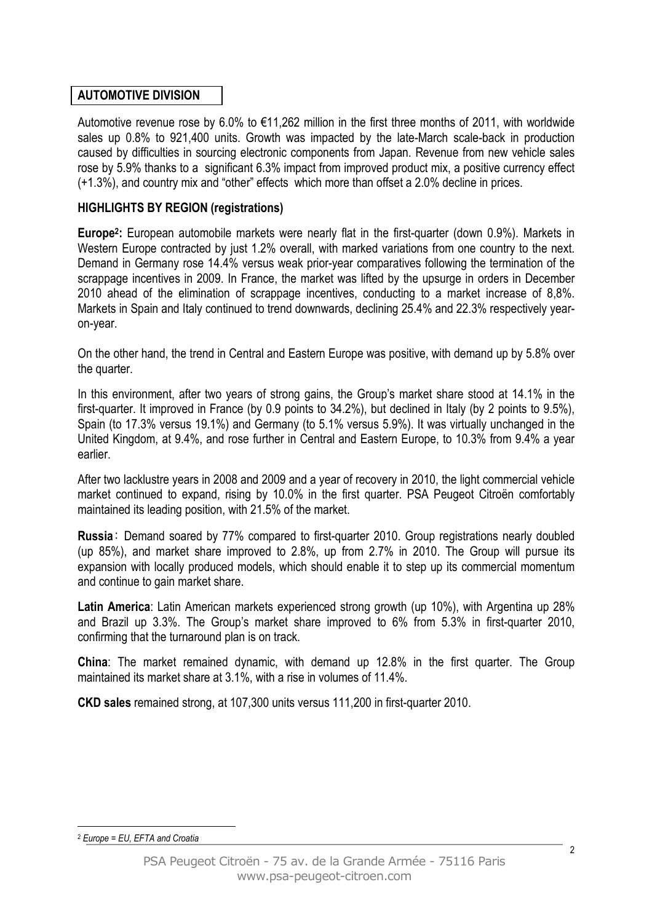# **AUTOMOTIVE DIVISION**

Automotive revenue rose by 6.0% to  $\epsilon$ 11,262 million in the first three months of 2011, with worldwide sales up 0.8% to 921,400 units. Growth was impacted by the late-March scale-back in production caused by difficulties in sourcing electronic components from Japan. Revenue from new vehicle sales rose by 5.9% thanks to a significant 6.3% impact from improved product mix, a positive currency effect (+1.3%), and country mix and "other" effects which more than offset a 2.0% decline in prices.

# **HIGHLIGHTS BY REGION (registrations)**

**Europe<sup>2</sup> :** European automobile markets were nearly flat in the first-quarter (down 0.9%). Markets in Western Europe contracted by just 1.2% overall, with marked variations from one country to the next. Demand in Germany rose 14.4% versus weak prior-year comparatives following the termination of the scrappage incentives in 2009. In France, the market was lifted by the upsurge in orders in December 2010 ahead of the elimination of scrappage incentives, conducting to a market increase of 8,8%. Markets in Spain and Italy continued to trend downwards, declining 25.4% and 22.3% respectively yearon-year.

On the other hand, the trend in Central and Eastern Europe was positive, with demand up by 5.8% over the quarter.

In this environment, after two years of strong gains, the Group's market share stood at 14.1% in the first-quarter. It improved in France (by 0.9 points to 34.2%), but declined in Italy (by 2 points to 9.5%), Spain (to 17.3% versus 19.1%) and Germany (to 5.1% versus 5.9%). It was virtually unchanged in the United Kingdom, at 9.4%, and rose further in Central and Eastern Europe, to 10.3% from 9.4% a year earlier.

After two lacklustre years in 2008 and 2009 and a year of recovery in 2010, the light commercial vehicle market continued to expand, rising by 10.0% in the first quarter. PSA Peugeot Citroën comfortably maintained its leading position, with 21.5% of the market.

**Russia**: Demand soared by 77% compared to first-quarter 2010. Group registrations nearly doubled (up 85%), and market share improved to 2.8%, up from 2.7% in 2010. The Group will pursue its expansion with locally produced models, which should enable it to step up its commercial momentum and continue to gain market share.

**Latin America**: Latin American markets experienced strong growth (up 10%), with Argentina up 28% and Brazil up 3.3%. The Group's market share improved to 6% from 5.3% in first-quarter 2010, confirming that the turnaround plan is on track.

**China**: The market remained dynamic, with demand up 12.8% in the first quarter. The Group maintained its market share at 3.1%, with a rise in volumes of 11.4%.

**CKD sales** remained strong, at 107,300 units versus 111,200 in first-quarter 2010.

#### $\overline{a}$ <sup>2</sup> *Europe = EU, EFTA and Croatia*

 $\mathfrak{p}$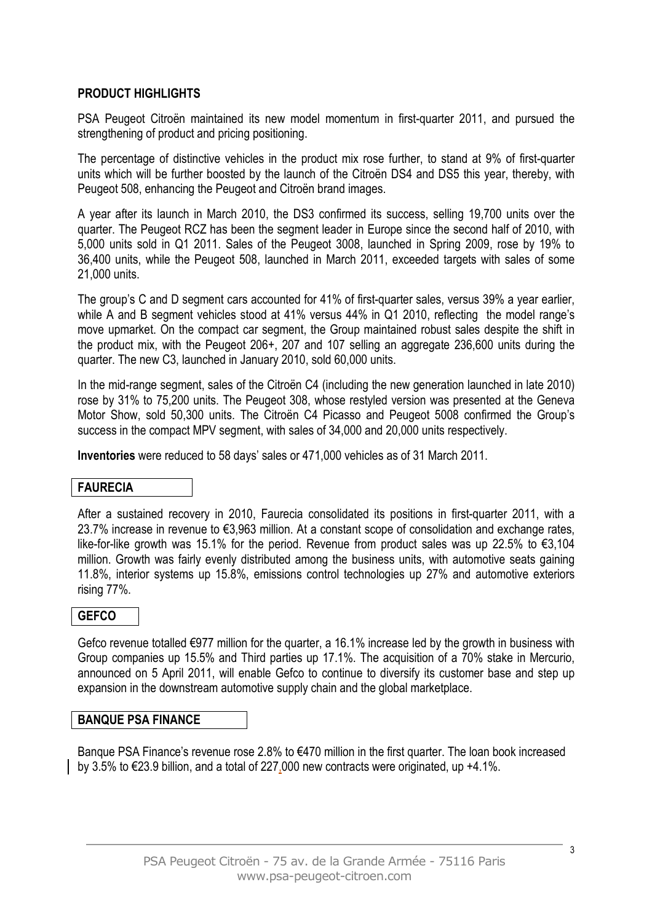# **PRODUCT HIGHLIGHTS**

PSA Peugeot Citroën maintained its new model momentum in first-quarter 2011, and pursued the strengthening of product and pricing positioning.

The percentage of distinctive vehicles in the product mix rose further, to stand at 9% of first-quarter units which will be further boosted by the launch of the Citroën DS4 and DS5 this year, thereby, with Peugeot 508, enhancing the Peugeot and Citroën brand images.

A year after its launch in March 2010, the DS3 confirmed its success, selling 19,700 units over the quarter. The Peugeot RCZ has been the segment leader in Europe since the second half of 2010, with 5,000 units sold in Q1 2011. Sales of the Peugeot 3008, launched in Spring 2009, rose by 19% to 36,400 units, while the Peugeot 508, launched in March 2011, exceeded targets with sales of some 21,000 units.

The group's C and D segment cars accounted for 41% of first-quarter sales, versus 39% a year earlier, while A and B segment vehicles stood at 41% versus 44% in Q1 2010, reflecting the model range's move upmarket. On the compact car segment, the Group maintained robust sales despite the shift in the product mix, with the Peugeot 206+, 207 and 107 selling an aggregate 236,600 units during the quarter. The new C3, launched in January 2010, sold 60,000 units.

In the mid-range segment, sales of the Citroën C4 (including the new generation launched in late 2010) rose by 31% to 75,200 units. The Peugeot 308, whose restyled version was presented at the Geneva Motor Show, sold 50,300 units. The Citroën C4 Picasso and Peugeot 5008 confirmed the Group's success in the compact MPV segment, with sales of 34,000 and 20,000 units respectively.

**Inventories** were reduced to 58 days' sales or 471,000 vehicles as of 31 March 2011.

# **FAURECIA**

After a sustained recovery in 2010, Faurecia consolidated its positions in first-quarter 2011, with a 23.7% increase in revenue to €3,963 million. At a constant scope of consolidation and exchange rates, like-for-like growth was 15.1% for the period. Revenue from product sales was up 22.5% to €3,104 million. Growth was fairly evenly distributed among the business units, with automotive seats gaining 11.8%, interior systems up 15.8%, emissions control technologies up 27% and automotive exteriors rising 77%.

# **GEFCO**

Gefco revenue totalled €977 million for the quarter, a 16.1% increase led by the growth in business with Group companies up 15.5% and Third parties up 17.1%. The acquisition of a 70% stake in Mercurio, announced on 5 April 2011, will enable Gefco to continue to diversify its customer base and step up expansion in the downstream automotive supply chain and the global marketplace.

### **BANQUE PSA FINANCE**

Banque PSA Finance's revenue rose 2.8% to €470 million in the first quarter. The loan book increased by 3.5% to €23.9 billion, and a total of 227,000 new contracts were originated, up +4.1%.